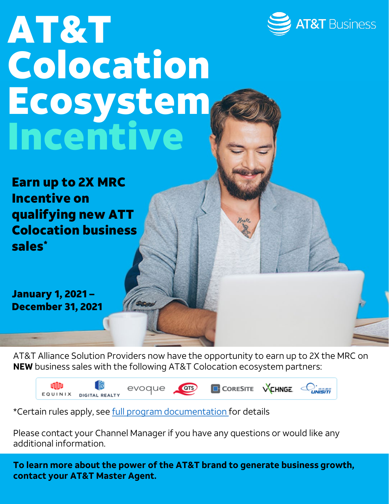

## AT&T Colocation Ecosystem Incentive

Earn up to 2X MRC Incentive on qualifying new ATT Colocation business sales\*

January 1, 2021 – December 31, 2021

AT&T Alliance Solution Providers now have the opportunity to earn up to 2X the MRC on **NEW** business sales with the following AT&T Colocation ecosystem partners:

ulliv evoque **ors** CORESITE VCHNGE C EQUINIX DIGITAL REALTY

\*Certain rules apply, see [full program documentation](https://alliancepartnersolutions.att.com/s/document-detail?documentID=0693l00000DJshmAAD) for details

Please contact your Channel Manager if you have any questions or would like any additional information.

**To learn more about the power of the AT&T brand to generate business growth, contact your AT&T Master Agent.**